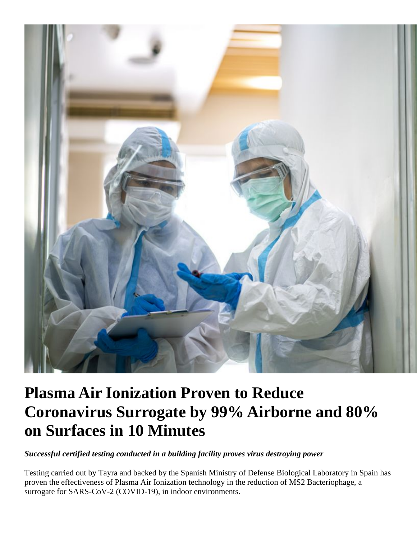

## **Plasma Air Ionization Proven to Reduce Coronavirus Surrogate by 99% Airborne and 80% on Surfaces in 10 Minutes**

*Successful certified testing conducted in a building facility proves virus destroying power*

Testing carried out by Tayra and backed by the Spanish Ministry of Defense Biological Laboratory in Spain has proven the effectiveness of Plasma Air Ionization technology in the reduction of MS2 Bacteriophage, a surrogate for SARS-CoV-2 (COVID-19), in indoor environments.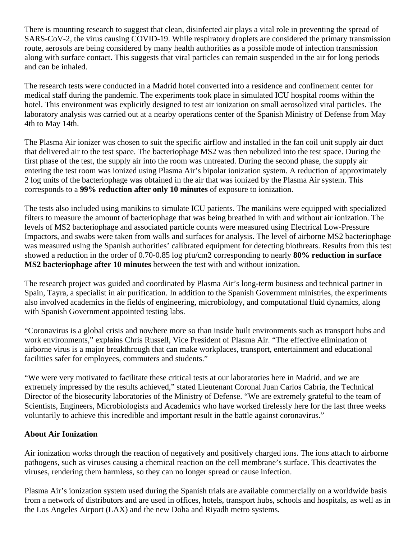There is mounting research to suggest that clean, disinfected air plays a vital role in preventing the spread of SARS-CoV-2, the virus causing COVID-19. While respiratory droplets are considered the primary transmission route, aerosols are being considered by many health authorities as a possible mode of infection transmission along with surface contact. This suggests that viral particles can remain suspended in the air for long periods and can be inhaled.

The research tests were conducted in a Madrid hotel converted into a residence and confinement center for medical staff during the pandemic. The experiments took place in simulated ICU hospital rooms within the hotel. This environment was explicitly designed to test air ionization on small aerosolized viral particles. The laboratory analysis was carried out at a nearby operations center of the Spanish Ministry of Defense from May 4th to May 14th.

The Plasma Air ionizer was chosen to suit the specific airflow and installed in the fan coil unit supply air duct that delivered air to the test space. The bacteriophage MS2 was then nebulized into the test space. During the first phase of the test, the supply air into the room was untreated. During the second phase, the supply air entering the test room was ionized using Plasma Air's bipolar ionization system. A reduction of approximately 2 log units of the bacteriophage was obtained in the air that was ionized by the Plasma Air system. This corresponds to a **99% reduction after only 10 minutes** of exposure to ionization.

The tests also included using manikins to simulate ICU patients. The manikins were equipped with specialized filters to measure the amount of bacteriophage that was being breathed in with and without air ionization. The levels of MS2 bacteriophage and associated particle counts were measured using Electrical Low-Pressure Impactors, and swabs were taken from walls and surfaces for analysis. The level of airborne MS2 bacteriophage was measured using the Spanish authorities' calibrated equipment for detecting biothreats. Results from this test showed a reduction in the order of 0.70-0.85 log pfu/cm2 corresponding to nearly **80% reduction in surface MS2 bacteriophage after 10 minutes** between the test with and without ionization.

The research project was guided and coordinated by Plasma Air's long-term business and technical partner in Spain, Tayra, a specialist in air purification. In addition to the Spanish Government ministries, the experiments also involved academics in the fields of engineering, microbiology, and computational fluid dynamics, along with Spanish Government appointed testing labs.

"Coronavirus is a global crisis and nowhere more so than inside built environments such as transport hubs and work environments," explains Chris Russell, Vice President of Plasma Air. "The effective elimination of airborne virus is a major breakthrough that can make workplaces, transport, entertainment and educational facilities safer for employees, commuters and students."

"We were very motivated to facilitate these critical tests at our laboratories here in Madrid, and we are extremely impressed by the results achieved," stated Lieutenant Coronal Juan Carlos Cabria, the Technical Director of the biosecurity laboratories of the Ministry of Defense. "We are extremely grateful to the team of Scientists, Engineers, Microbiologists and Academics who have worked tirelessly here for the last three weeks voluntarily to achieve this incredible and important result in the battle against coronavirus."

## **About Air Ionization**

Air ionization works through the reaction of negatively and positively charged ions. The ions attach to airborne pathogens, such as viruses causing a chemical reaction on the cell membrane's surface. This deactivates the viruses, rendering them harmless, so they can no longer spread or cause infection.

Plasma Air's ionization system used during the Spanish trials are available commercially on a worldwide basis from a network of distributors and are used in offices, hotels, transport hubs, schools and hospitals, as well as in the Los Angeles Airport (LAX) and the new Doha and Riyadh metro systems.